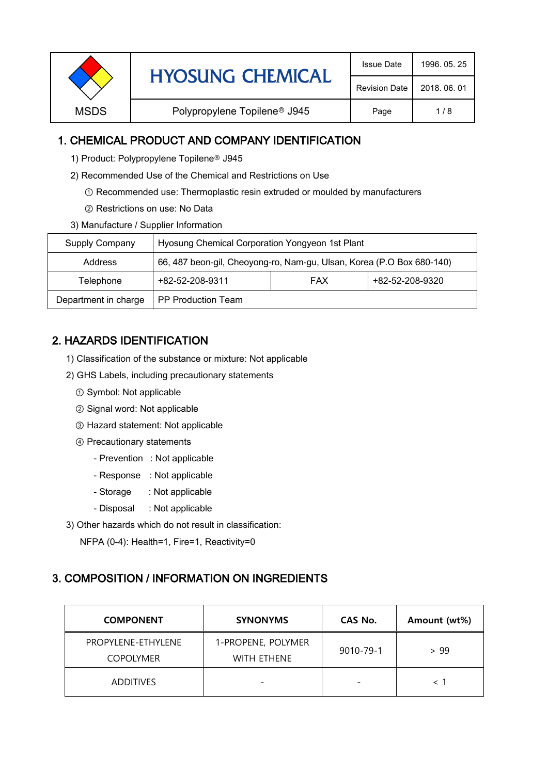| <b>HYOSUNG CHEMICAL</b> | <b>Issue Date</b>                        | 1996, 05, 25         |              |
|-------------------------|------------------------------------------|----------------------|--------------|
|                         |                                          | <b>Revision Date</b> | 2018, 06, 01 |
| <b>MSDS</b>             | Polypropylene Topilene <sup>®</sup> J945 | Page                 | 1/8          |

### 1. CHEMICAL PRODUCT AND COMPANY IDENTIFICATION

- 1) Product: Polypropylene Topilene<sup>®</sup> J945
- 2) Recommended Use of the Chemical and Restrictions on Use
	- ① Recommended use: Thermoplastic resin extruded or moulded by manufacturers
	- ② Restrictions on use: No Data
- 3) Manufacture / Supplier Information

| Supply Company       | Hyosung Chemical Corporation Yongyeon 1st Plant                       |  |  |  |
|----------------------|-----------------------------------------------------------------------|--|--|--|
| Address              | 66, 487 beon-gil, Cheoyong-ro, Nam-gu, Ulsan, Korea (P.O Box 680-140) |  |  |  |
| Telephone            | +82-52-208-9320<br>+82-52-208-9311<br><b>FAX</b>                      |  |  |  |
| Department in charge | <b>PP Production Team</b>                                             |  |  |  |

# 2. HAZARDS IDENTIFICATION

- 1) Classification of the substance or mixture: Not applicable
- 2) GHS Labels, including precautionary statements
	- ① Symbol: Not applicable
	- ② Signal word: Not applicable
	- ③ Hazard statement: Not applicable
	- ④ Precautionary statements
		- Prevention : Not applicable
		- Response : Not applicable
		- Storage : Not applicable
		- Disposal : Not applicable
- 3) Other hazards which do not result in classification:

NFPA (0-4): Health=1, Fire=1, Reactivity=0

#### 3. COMPOSITION / INFORMATION ON INGREDIENTS

| <b>COMPONENT</b>                       | <b>SYNONYMS</b>                          | CAS No.                  | Amount (wt%) |
|----------------------------------------|------------------------------------------|--------------------------|--------------|
| PROPYLENE-ETHYLENE<br><b>COPOLYMER</b> | 1-PROPENE, POLYMER<br><b>WITH FTHENE</b> | 9010-79-1                | > 99         |
| <b>ADDITIVES</b>                       | $\overline{\phantom{0}}$                 | $\overline{\phantom{0}}$ |              |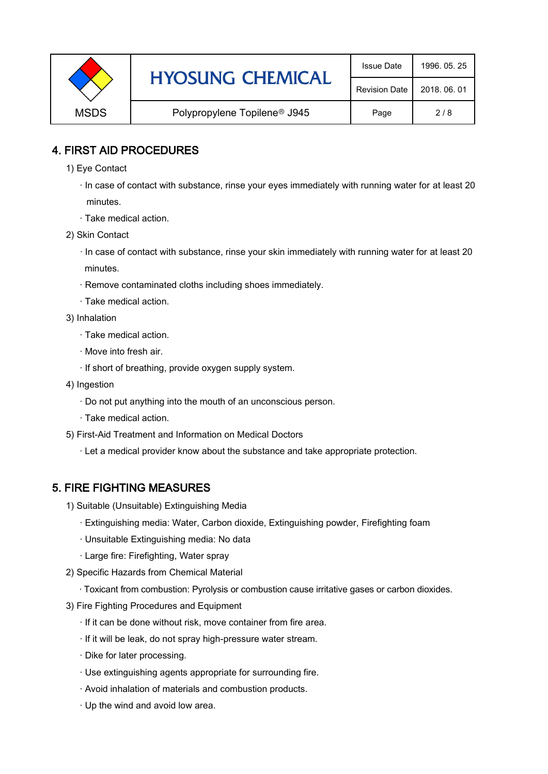|                                                         | <b>HYOSUNG CHEMICAL</b> | <b>Issue Date</b>    | 1996, 05, 25 |
|---------------------------------------------------------|-------------------------|----------------------|--------------|
|                                                         |                         | <b>Revision Date</b> | 2018, 06, 01 |
| <b>MSDS</b><br>Polypropylene Topilene <sup>®</sup> J945 |                         | Page                 | 2/8          |

### 4. FIRST AID PROCEDURES

- 1) Eye Contact
	- · In case of contact with substance, rinse your eyes immediately with running water for at least 20 minutes.
	- · Take medical action.
- 2) Skin Contact
	- · In case of contact with substance, rinse your skin immediately with running water for at least 20 minutes.
	- · Remove contaminated cloths including shoes immediately.
	- · Take medical action.
- 3) Inhalation
	- · Take medical action.
	- · Move into fresh air.
	- · If short of breathing, provide oxygen supply system.
- 4) Ingestion
	- · Do not put anything into the mouth of an unconscious person.
	- · Take medical action.
- 5) First-Aid Treatment and Information on Medical Doctors
	- · Let a medical provider know about the substance and take appropriate protection.

## 5. FIRE FIGHTING MEASURES

- 1) Suitable (Unsuitable) Extinguishing Media
	- · Extinguishing media: Water, Carbon dioxide, Extinguishing powder, Firefighting foam
	- · Unsuitable Extinguishing media: No data
	- · Large fire: Firefighting, Water spray
- 2) Specific Hazards from Chemical Material
	- · Toxicant from combustion: Pyrolysis or combustion cause irritative gases or carbon dioxides.
- 3) Fire Fighting Procedures and Equipment
	- · If it can be done without risk, move container from fire area.
	- · If it will be leak, do not spray high-pressure water stream.
	- · Dike for later processing.
	- · Use extinguishing agents appropriate for surrounding fire.
	- · Avoid inhalation of materials and combustion products.
	- · Up the wind and avoid low area.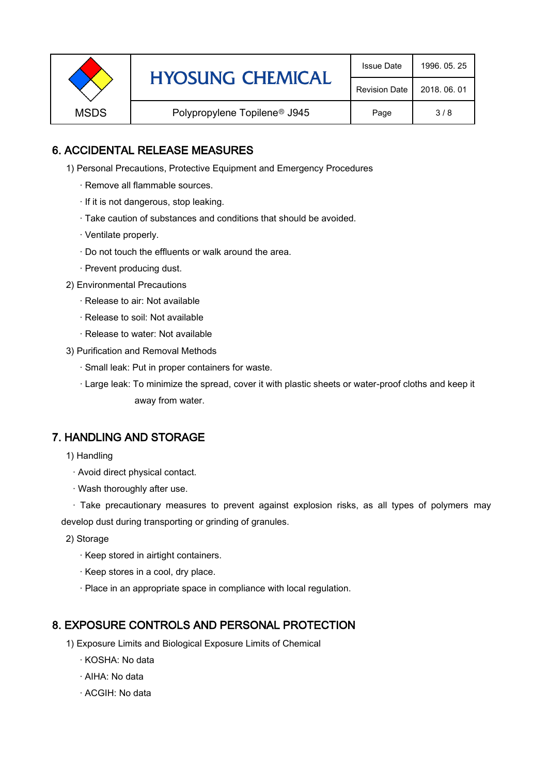|             | <b>HYOSUNG CHEMICAL</b>                  | <b>Issue Date</b>    | 1996, 05, 25 |
|-------------|------------------------------------------|----------------------|--------------|
|             |                                          | <b>Revision Date</b> | 2018, 06, 01 |
| <b>MSDS</b> | Polypropylene Topilene <sup>®</sup> J945 | Page                 | 3/8          |

### 6. ACCIDENTAL RELEASE MEASURES

- 1) Personal Precautions, Protective Equipment and Emergency Procedures
	- · Remove all flammable sources.
	- · If it is not dangerous, stop leaking.
	- · Take caution of substances and conditions that should be avoided.
	- · Ventilate properly.
	- · Do not touch the effluents or walk around the area.
	- · Prevent producing dust.
- 2) Environmental Precautions
	- · Release to air: Not available
	- · Release to soil: Not available
	- · Release to water: Not available
- 3) Purification and Removal Methods
	- · Small leak: Put in proper containers for waste.
	- ,· Large leak: To minimize the spread, cover it with plastic sheets or water-proof cloths and keep it away from water.

#### 7. HANDLING AND STORAGE

- 1) Handling
	- · Avoid direct physical contact.
	- · Wash thoroughly after use.

· Take precautionary measures to prevent against explosion risks, as all types of polymers may develop dust during transporting or grinding of granules.

- 2) Storage
	- · Keep stored in airtight containers.
	- · Keep stores in a cool, dry place.
	- · Place in an appropriate space in compliance with local regulation.

#### 8. EXPOSURE CONTROLS AND PERSONAL PROTECTION

- 1) Exposure Limits and Biological Exposure Limits of Chemical
	- · KOSHA: No data
	- · AIHA: No data
	- · ACGIH: No data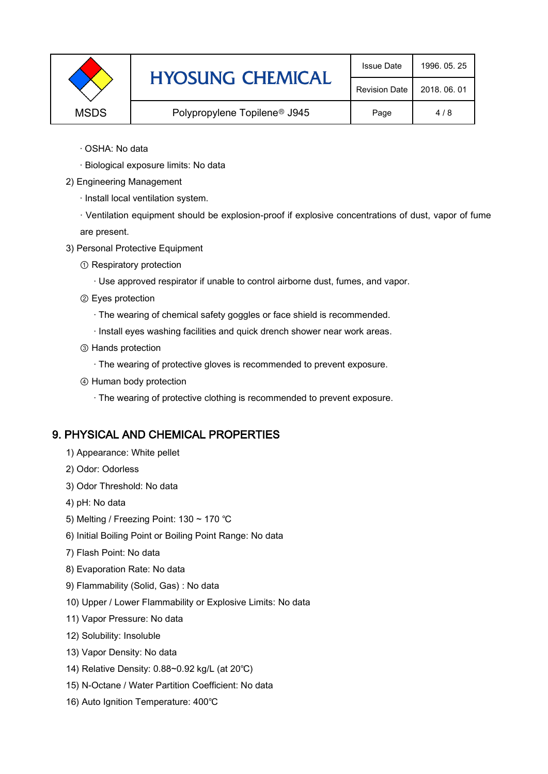|             | <b>HYOSUNG CHEMICAL</b>                  | <b>Issue Date</b>    | 1996, 05, 25 |
|-------------|------------------------------------------|----------------------|--------------|
|             |                                          | <b>Revision Date</b> | 2018, 06, 01 |
| <b>MSDS</b> | Polypropylene Topilene <sup>®</sup> J945 | Page                 | 4/8          |

- · OSHA: No data
- · Biological exposure limits: No data
- 2) Engineering Management
	- · Install local ventilation system.

· Ventilation equipment should be explosion-proof if explosive concentrations of dust, vapor of fume are present.

- 3) Personal Protective Equipment
	- ① Respiratory protection
		- · Use approved respirator if unable to control airborne dust, fumes, and vapor.
	- ② Eyes protection
		- · The wearing of chemical safety goggles or face shield is recommended.
		- · Install eyes washing facilities and quick drench shower near work areas.
	- ③ Hands protection
		- · The wearing of protective gloves is recommended to prevent exposure.
	- ④ Human body protection
		- · The wearing of protective clothing is recommended to prevent exposure.

#### 9. PHYSICAL AND CHEMICAL PROPERTIES

- 1) Appearance: White pellet
- 2) Odor: Odorless
- 3) Odor Threshold: No data
- 4) pH: No data
- 5) Melting / Freezing Point: 130 ~ 170 ℃
- 6) Initial Boiling Point or Boiling Point Range: No data
- 7) Flash Point: No data
- 8) Evaporation Rate: No data
- 9) Flammability (Solid, Gas) : No data
- 10) Upper / Lower Flammability or Explosive Limits: No data
- 11) Vapor Pressure: No data
- 12) Solubility: Insoluble
- 13) Vapor Density: No data
- 14) Relative Density: 0.88~0.92 kg/L (at 20℃)
- 15) N-Octane / Water Partition Coefficient: No data
- 16) Auto Ignition Temperature: 400℃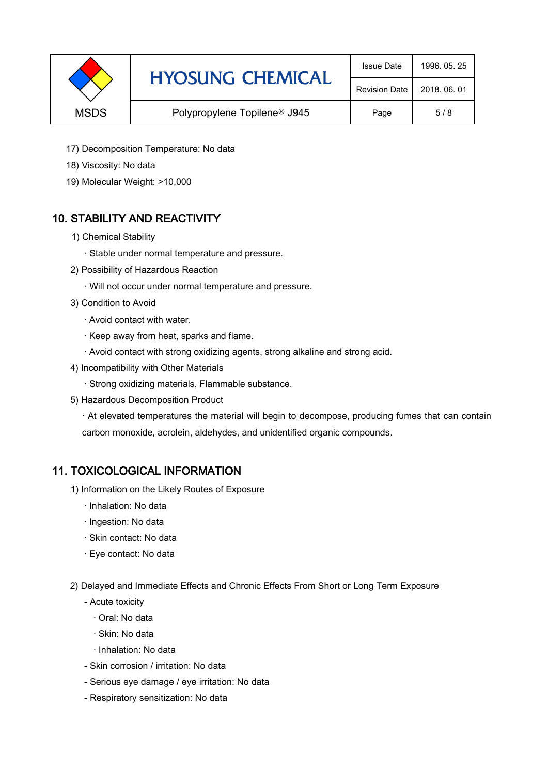|             | <b>HYOSUNG CHEMICAL</b>                  | <b>Issue Date</b>    | 1996, 05, 25 |
|-------------|------------------------------------------|----------------------|--------------|
|             |                                          | <b>Revision Date</b> | 2018, 06, 01 |
| <b>MSDS</b> | Polypropylene Topilene <sup>®</sup> J945 |                      | 5/8          |

- 17) Decomposition Temperature: No data
- 18) Viscosity: No data
- 19) Molecular Weight: >10,000

## 10. STABILITY AND REACTIVITY

- 1) Chemical Stability
	- · Stable under normal temperature and pressure.
- 2) Possibility of Hazardous Reaction
	- · Will not occur under normal temperature and pressure.
- 3) Condition to Avoid
	- · Avoid contact with water.
	- · Keep away from heat, sparks and flame.
	- · Avoid contact with strong oxidizing agents, strong alkaline and strong acid.
- 4) Incompatibility with Other Materials
	- · Strong oxidizing materials, Flammable substance.
- 5) Hazardous Decomposition Product

· At elevated temperatures the material will begin to decompose, producing fumes that can contain carbon monoxide, acrolein, aldehydes, and unidentified organic compounds.

#### 11. TOXICOLOGICAL INFORMATION

- 1) Information on the Likely Routes of Exposure
	- · Inhalation: No data
	- · Ingestion: No data
	- · Skin contact: No data
	- · Eye contact: No data
- 2) Delayed and Immediate Effects and Chronic Effects From Short or Long Term Exposure
	- Acute toxicity
		- · Oral: No data
		- · Skin: No data
		- · Inhalation: No data
	- Skin corrosion / irritation: No data
	- Serious eye damage / eye irritation: No data
	- Respiratory sensitization: No data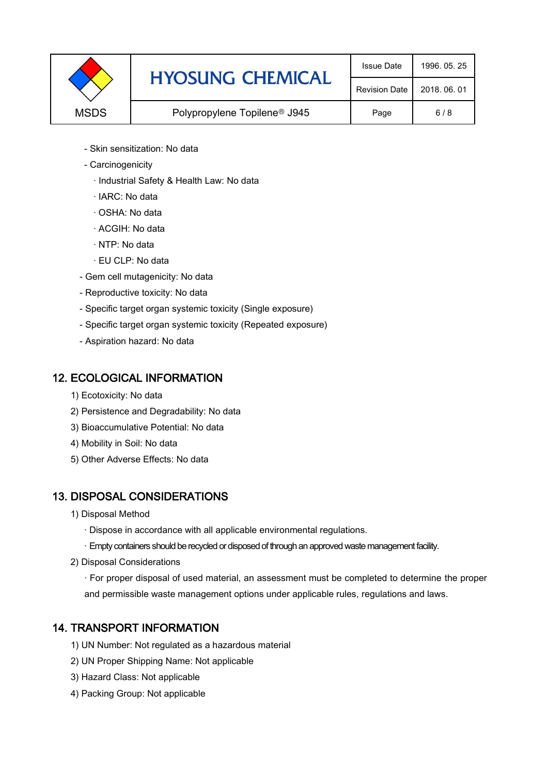|             | <b>HYOSUNG CHEMICAL</b>                  | <b>Issue Date</b>    | 1996, 05, 25 |
|-------------|------------------------------------------|----------------------|--------------|
|             |                                          | <b>Revision Date</b> | 2018, 06, 01 |
| <b>MSDS</b> | Polypropylene Topilene <sup>®</sup> J945 | Page                 | 6/8          |

- Skin sensitization: No data
- Carcinogenicity
	- · Industrial Safety & Health Law: No data
	- · IARC: No data
	- · OSHA: No data
	- · ACGIH: No data
	- · NTP: No data
	- · EU CLP: No data
- Gem cell mutagenicity: No data
- Reproductive toxicity: No data
- Specific target organ systemic toxicity (Single exposure)
- Specific target organ systemic toxicity (Repeated exposure)
- Aspiration hazard: No data

#### 12. ECOLOGICAL INFORMATION

- 1) Ecotoxicity: No data
- 2) Persistence and Degradability: No data
- 3) Bioaccumulative Potential: No data
- 4) Mobility in Soil: No data
- 5) Other Adverse Effects: No data

## 13. DISPOSAL CONSIDERATIONS

- 1) Disposal Method
	- · Dispose in accordance with all applicable environmental regulations.
	- · Empty containers should be recycled or disposed of through an approved waste management facility.
- 2) Disposal Considerations
	- · For proper disposal of used material, an assessment must be completed to determine the proper and permissible waste management options under applicable rules, regulations and laws.

## 14. TRANSPORT INFORMATION

- 1) UN Number: Not regulated as a hazardous material
- 2) UN Proper Shipping Name: Not applicable
- 3) Hazard Class: Not applicable
- 4) Packing Group: Not applicable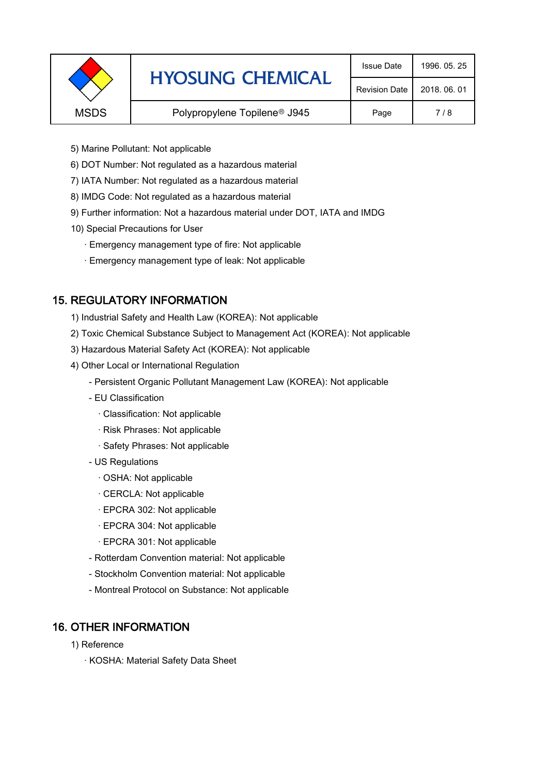|             | <b>HYOSUNG CHEMICAL</b>                  | <b>Issue Date</b>    | 1996, 05, 25 |
|-------------|------------------------------------------|----------------------|--------------|
|             |                                          | <b>Revision Date</b> | 2018, 06, 01 |
| <b>MSDS</b> | Polypropylene Topilene <sup>®</sup> J945 | Page                 | 7/8          |
|             |                                          |                      |              |

- 5) Marine Pollutant: Not applicable
- 6) DOT Number: Not regulated as a hazardous material
- 7) IATA Number: Not regulated as a hazardous material
- 8) IMDG Code: Not regulated as a hazardous material
- 9) Further information: Not a hazardous material under DOT, IATA and IMDG
- 10) Special Precautions for User
	- · Emergency management type of fire: Not applicable
	- · Emergency management type of leak: Not applicable

## 15. REGULATORY INFORMATION

- 1) Industrial Safety and Health Law (KOREA): Not applicable
- 2) Toxic Chemical Substance Subject to Management Act (KOREA): Not applicable
- 3) Hazardous Material Safety Act (KOREA): Not applicable
- 4) Other Local or International Regulation
	- Persistent Organic Pollutant Management Law (KOREA): Not applicable
	- EU Classification
		- · Classification: Not applicable
		- · Risk Phrases: Not applicable
		- · Safety Phrases: Not applicable
	- US Regulations
		- · OSHA: Not applicable
		- · CERCLA: Not applicable
		- · EPCRA 302: Not applicable
		- · EPCRA 304: Not applicable
		- · EPCRA 301: Not applicable
	- Rotterdam Convention material: Not applicable
	- Stockholm Convention material: Not applicable
	- Montreal Protocol on Substance: Not applicable

## 16. OTHER INFORMATION

- 1) Reference
	- · KOSHA: Material Safety Data Sheet